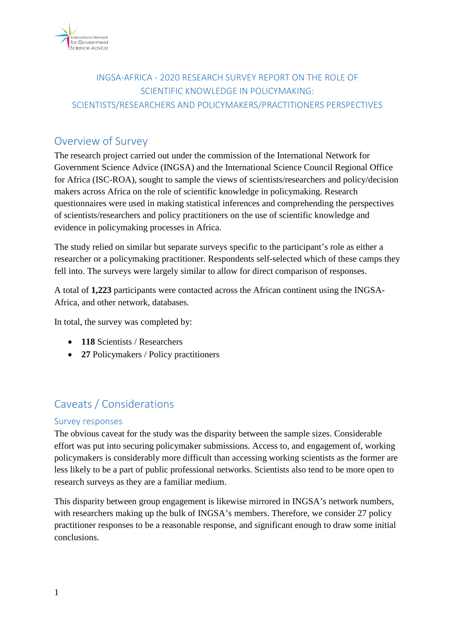

## INGSA-AFRICA - 2020 RESEARCH SURVEY REPORT ON THE ROLE OF SCIENTIFIC KNOWLEDGE IN POLICYMAKING: SCIENTISTS/RESEARCHERS AND POLICYMAKERS/PRACTITIONERS PERSPECTIVES

# Overview of Survey

The research project carried out under the commission of the International Network for Government Science Advice (INGSA) and the International Science Council Regional Office for Africa (ISC-ROA), sought to sample the views of scientists/researchers and policy/decision makers across Africa on the role of scientific knowledge in policymaking. Research questionnaires were used in making statistical inferences and comprehending the perspectives of scientists/researchers and policy practitioners on the use of scientific knowledge and evidence in policymaking processes in Africa.

The study relied on similar but separate surveys specific to the participant's role as either a researcher or a policymaking practitioner. Respondents self-selected which of these camps they fell into. The surveys were largely similar to allow for direct comparison of responses.

A total of **1,223** participants were contacted across the African continent using the INGSA-Africa, and other network, databases.

In total, the survey was completed by:

- **118** Scientists / Researchers
- **27 Policymakers / Policy practitioners**

# Caveats / Considerations

## Survey responses

The obvious caveat for the study was the disparity between the sample sizes. Considerable effort was put into securing policymaker submissions. Access to, and engagement of, working policymakers is considerably more difficult than accessing working scientists as the former are less likely to be a part of public professional networks. Scientists also tend to be more open to research surveys as they are a familiar medium.

This disparity between group engagement is likewise mirrored in INGSA's network numbers, with researchers making up the bulk of INGSA's members. Therefore, we consider 27 policy practitioner responses to be a reasonable response, and significant enough to draw some initial conclusions.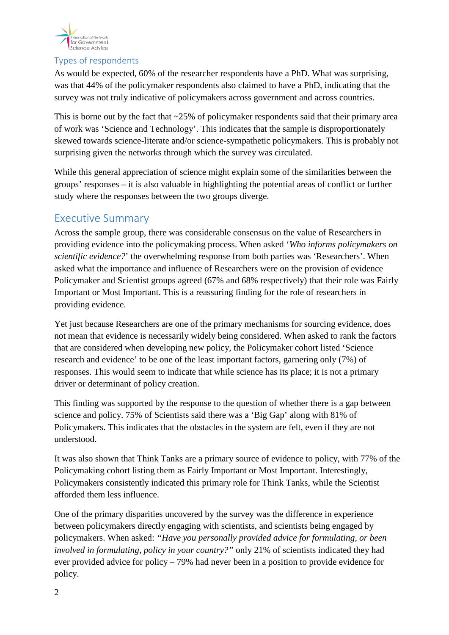

## Types of respondents

As would be expected, 60% of the researcher respondents have a PhD. What was surprising, was that 44% of the policymaker respondents also claimed to have a PhD, indicating that the survey was not truly indicative of policymakers across government and across countries.

This is borne out by the fact that  $\sim$ 25% of policymaker respondents said that their primary area of work was 'Science and Technology'. This indicates that the sample is disproportionately skewed towards science-literate and/or science-sympathetic policymakers. This is probably not surprising given the networks through which the survey was circulated.

While this general appreciation of science might explain some of the similarities between the groups' responses – it is also valuable in highlighting the potential areas of conflict or further study where the responses between the two groups diverge.

## Executive Summary

Across the sample group, there was considerable consensus on the value of Researchers in providing evidence into the policymaking process. When asked '*Who informs policymakers on scientific evidence?*' the overwhelming response from both parties was 'Researchers'. When asked what the importance and influence of Researchers were on the provision of evidence Policymaker and Scientist groups agreed (67% and 68% respectively) that their role was Fairly Important or Most Important. This is a reassuring finding for the role of researchers in providing evidence.

Yet just because Researchers are one of the primary mechanisms for sourcing evidence, does not mean that evidence is necessarily widely being considered. When asked to rank the factors that are considered when developing new policy, the Policymaker cohort listed 'Science research and evidence' to be one of the least important factors, garnering only (7%) of responses. This would seem to indicate that while science has its place; it is not a primary driver or determinant of policy creation.

This finding was supported by the response to the question of whether there is a gap between science and policy. 75% of Scientists said there was a 'Big Gap' along with 81% of Policymakers. This indicates that the obstacles in the system are felt, even if they are not understood.

It was also shown that Think Tanks are a primary source of evidence to policy, with 77% of the Policymaking cohort listing them as Fairly Important or Most Important. Interestingly, Policymakers consistently indicated this primary role for Think Tanks, while the Scientist afforded them less influence.

One of the primary disparities uncovered by the survey was the difference in experience between policymakers directly engaging with scientists, and scientists being engaged by policymakers. When asked: *"Have you personally provided advice for formulating, or been involved in formulating, policy in your country?"* only 21% of scientists indicated they had ever provided advice for policy – 79% had never been in a position to provide evidence for policy.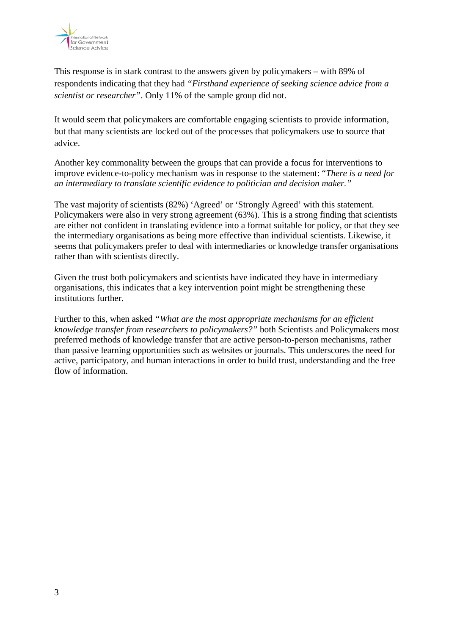

This response is in stark contrast to the answers given by policymakers – with 89% of respondents indicating that they had *"Firsthand experience of seeking science advice from a scientist or researcher"*. Only 11% of the sample group did not.

It would seem that policymakers are comfortable engaging scientists to provide information, but that many scientists are locked out of the processes that policymakers use to source that advice.

Another key commonality between the groups that can provide a focus for interventions to improve evidence-to-policy mechanism was in response to the statement: "*There is a need for an intermediary to translate scientific evidence to politician and decision maker."*

The vast majority of scientists (82%) 'Agreed' or 'Strongly Agreed' with this statement. Policymakers were also in very strong agreement (63%). This is a strong finding that scientists are either not confident in translating evidence into a format suitable for policy, or that they see the intermediary organisations as being more effective than individual scientists. Likewise, it seems that policymakers prefer to deal with intermediaries or knowledge transfer organisations rather than with scientists directly.

Given the trust both policymakers and scientists have indicated they have in intermediary organisations, this indicates that a key intervention point might be strengthening these institutions further.

Further to this, when asked *"What are the most appropriate mechanisms for an efficient knowledge transfer from researchers to policymakers?"* both Scientists and Policymakers most preferred methods of knowledge transfer that are active person-to-person mechanisms, rather than passive learning opportunities such as websites or journals. This underscores the need for active, participatory, and human interactions in order to build trust, understanding and the free flow of information.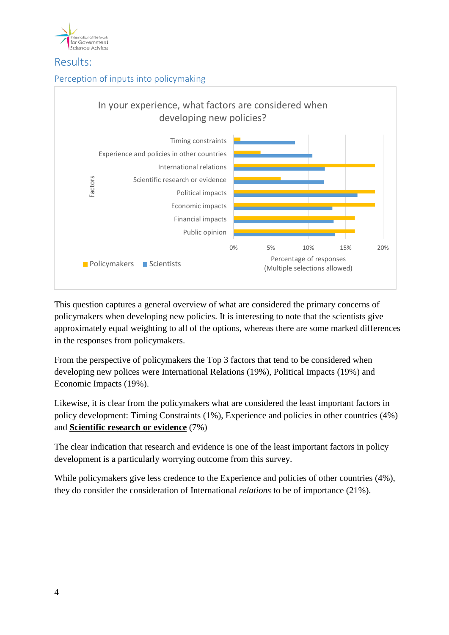

## Results:

## Perception of inputs into policymaking



This question captures a general overview of what are considered the primary concerns of policymakers when developing new policies. It is interesting to note that the scientists give approximately equal weighting to all of the options, whereas there are some marked differences in the responses from policymakers.

From the perspective of policymakers the Top 3 factors that tend to be considered when developing new polices were International Relations (19%), Political Impacts (19%) and Economic Impacts (19%).

Likewise, it is clear from the policymakers what are considered the least important factors in policy development: Timing Constraints (1%), Experience and policies in other countries (4%) and **Scientific research or evidence** (7%)

The clear indication that research and evidence is one of the least important factors in policy development is a particularly worrying outcome from this survey.

While policymakers give less credence to the Experience and policies of other countries (4%), they do consider the consideration of International *relations* to be of importance (21%).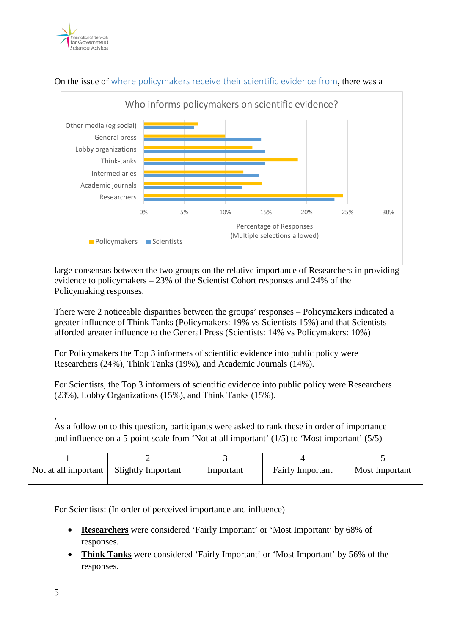



## On the issue of where policymakers receive their scientific evidence from, there was a

large consensus between the two groups on the relative importance of Researchers in providing evidence to policymakers – 23% of the Scientist Cohort responses and 24% of the Policymaking responses.

There were 2 noticeable disparities between the groups' responses – Policymakers indicated a greater influence of Think Tanks (Policymakers: 19% vs Scientists 15%) and that Scientists afforded greater influence to the General Press (Scientists: 14% vs Policymakers: 10%)

For Policymakers the Top 3 informers of scientific evidence into public policy were Researchers (24%), Think Tanks (19%), and Academic Journals (14%).

For Scientists, the Top 3 informers of scientific evidence into public policy were Researchers (23%), Lobby Organizations (15%), and Think Tanks (15%).

As a follow on to this question, participants were asked to rank these in order of importance and influence on a 5-point scale from 'Not at all important' (1/5) to 'Most important' (5/5)

| Not at all important | <b>Slightly Important</b> | Important | <b>Fairly Important</b> | Most Important |
|----------------------|---------------------------|-----------|-------------------------|----------------|

For Scientists: (In order of perceived importance and influence)

- **Researchers** were considered 'Fairly Important' or 'Most Important' by 68% of responses.
- **Think Tanks** were considered 'Fairly Important' or 'Most Important' by 56% of the responses.

,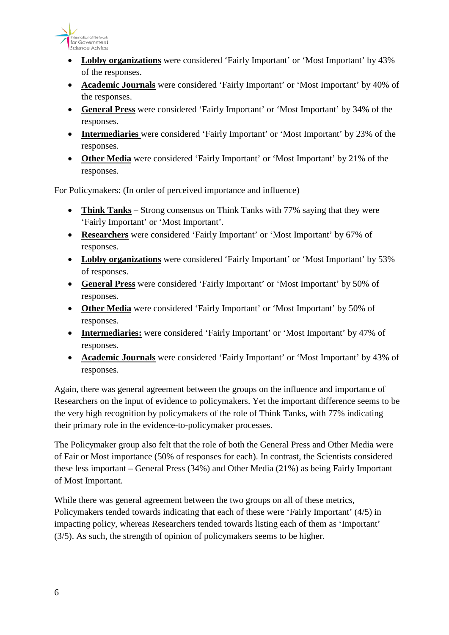

- **Lobby organizations** were considered 'Fairly Important' or 'Most Important' by 43% of the responses.
- **Academic Journals** were considered 'Fairly Important' or 'Most Important' by 40% of the responses.
- **General Press** were considered 'Fairly Important' or 'Most Important' by 34% of the responses.
- **Intermediaries** were considered 'Fairly Important' or 'Most Important' by 23% of the responses.
- **Other Media** were considered 'Fairly Important' or 'Most Important' by 21% of the responses.

For Policymakers: (In order of perceived importance and influence)

- **Think Tanks** Strong consensus on Think Tanks with 77% saying that they were 'Fairly Important' or 'Most Important'.
- **Researchers** were considered 'Fairly Important' or 'Most Important' by 67% of responses.
- **Lobby organizations** were considered 'Fairly Important' or 'Most Important' by 53% of responses.
- **General Press** were considered 'Fairly Important' or 'Most Important' by 50% of responses.
- **Other Media** were considered 'Fairly Important' or 'Most Important' by 50% of responses.
- **Intermediaries:** were considered 'Fairly Important' or 'Most Important' by 47% of responses.
- **Academic Journals** were considered 'Fairly Important' or 'Most Important' by 43% of responses.

Again, there was general agreement between the groups on the influence and importance of Researchers on the input of evidence to policymakers. Yet the important difference seems to be the very high recognition by policymakers of the role of Think Tanks, with 77% indicating their primary role in the evidence-to-policymaker processes.

The Policymaker group also felt that the role of both the General Press and Other Media were of Fair or Most importance (50% of responses for each). In contrast, the Scientists considered these less important – General Press (34%) and Other Media (21%) as being Fairly Important of Most Important.

While there was general agreement between the two groups on all of these metrics, Policymakers tended towards indicating that each of these were 'Fairly Important' (4/5) in impacting policy, whereas Researchers tended towards listing each of them as 'Important' (3/5). As such, the strength of opinion of policymakers seems to be higher.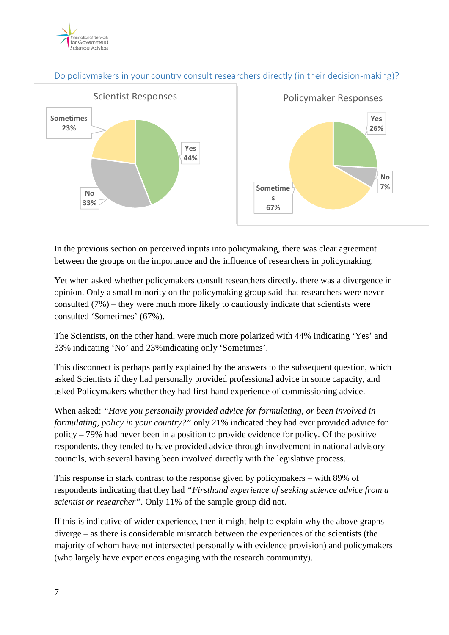



## Do policymakers in your country consult researchers directly (in their decision-making)?

In the previous section on perceived inputs into policymaking, there was clear agreement between the groups on the importance and the influence of researchers in policymaking.

Yet when asked whether policymakers consult researchers directly, there was a divergence in opinion. Only a small minority on the policymaking group said that researchers were never consulted (7%) – they were much more likely to cautiously indicate that scientists were consulted 'Sometimes' (67%).

The Scientists, on the other hand, were much more polarized with 44% indicating 'Yes' and 33% indicating 'No' and 23%indicating only 'Sometimes'.

This disconnect is perhaps partly explained by the answers to the subsequent question, which asked Scientists if they had personally provided professional advice in some capacity, and asked Policymakers whether they had first-hand experience of commissioning advice.

When asked: *"Have you personally provided advice for formulating, or been involved in formulating, policy in your country?"* only 21% indicated they had ever provided advice for policy – 79% had never been in a position to provide evidence for policy. Of the positive respondents, they tended to have provided advice through involvement in national advisory councils, with several having been involved directly with the legislative process.

This response in stark contrast to the response given by policymakers – with 89% of respondents indicating that they had *"Firsthand experience of seeking science advice from a scientist or researcher"*. Only 11% of the sample group did not.

If this is indicative of wider experience, then it might help to explain why the above graphs diverge – as there is considerable mismatch between the experiences of the scientists (the majority of whom have not intersected personally with evidence provision) and policymakers (who largely have experiences engaging with the research community).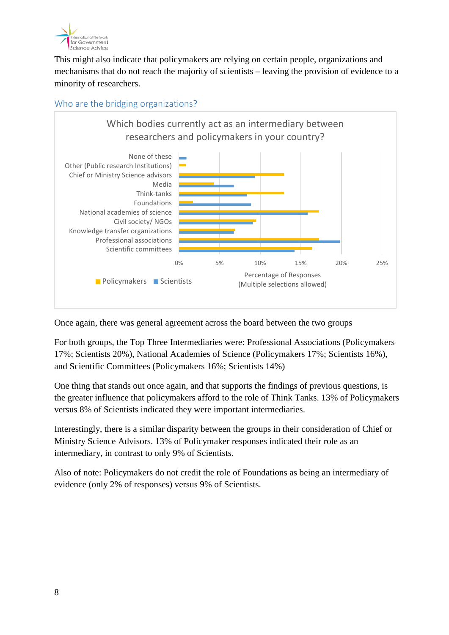

This might also indicate that policymakers are relying on certain people, organizations and mechanisms that do not reach the majority of scientists – leaving the provision of evidence to a minority of researchers.





Once again, there was general agreement across the board between the two groups

For both groups, the Top Three Intermediaries were: Professional Associations (Policymakers 17%; Scientists 20%), National Academies of Science (Policymakers 17%; Scientists 16%), and Scientific Committees (Policymakers 16%; Scientists 14%)

One thing that stands out once again, and that supports the findings of previous questions, is the greater influence that policymakers afford to the role of Think Tanks. 13% of Policymakers versus 8% of Scientists indicated they were important intermediaries.

Interestingly, there is a similar disparity between the groups in their consideration of Chief or Ministry Science Advisors. 13% of Policymaker responses indicated their role as an intermediary, in contrast to only 9% of Scientists.

Also of note: Policymakers do not credit the role of Foundations as being an intermediary of evidence (only 2% of responses) versus 9% of Scientists.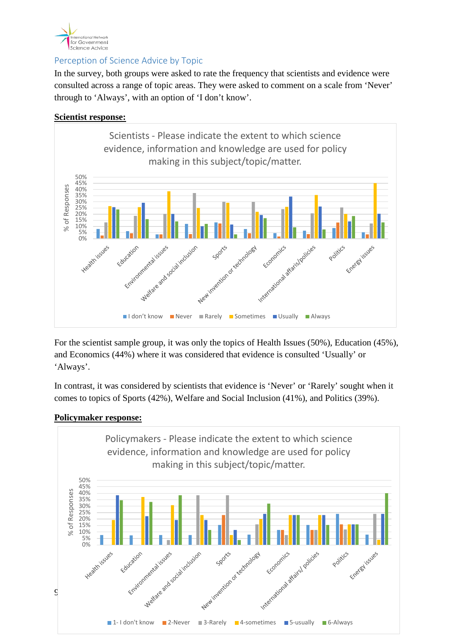

## Perception of Science Advice by Topic

In the survey, both groups were asked to rate the frequency that scientists and evidence were consulted across a range of topic areas. They were asked to comment on a scale from 'Never' through to 'Always', with an option of 'I don't know'.

## **Scientist response:**



For the scientist sample group, it was only the topics of Health Issues (50%), Education (45%), and Economics (44%) where it was considered that evidence is consulted 'Usually' or 'Always'.

In contrast, it was considered by scientists that evidence is 'Never' or 'Rarely' sought when it comes to topics of Sports (42%), Welfare and Social Inclusion (41%), and Politics (39%).

## **Policymaker response:**

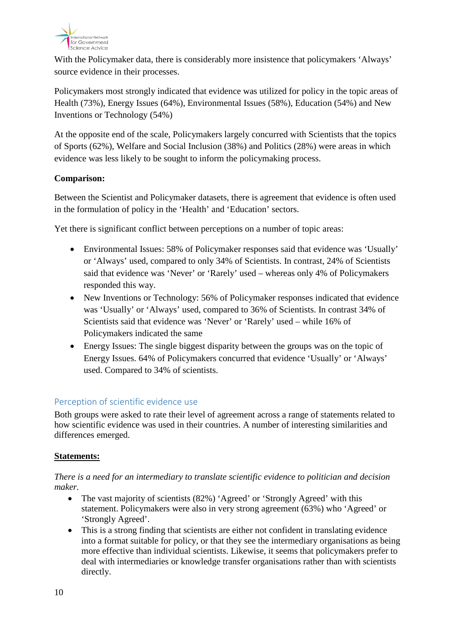

With the Policymaker data, there is considerably more insistence that policymakers 'Always' source evidence in their processes.

Policymakers most strongly indicated that evidence was utilized for policy in the topic areas of Health (73%), Energy Issues (64%), Environmental Issues (58%), Education (54%) and New Inventions or Technology (54%)

At the opposite end of the scale, Policymakers largely concurred with Scientists that the topics of Sports (62%), Welfare and Social Inclusion (38%) and Politics (28%) were areas in which evidence was less likely to be sought to inform the policymaking process.

## **Comparison:**

Between the Scientist and Policymaker datasets, there is agreement that evidence is often used in the formulation of policy in the 'Health' and 'Education' sectors.

Yet there is significant conflict between perceptions on a number of topic areas:

- Environmental Issues: 58% of Policymaker responses said that evidence was 'Usually' or 'Always' used, compared to only 34% of Scientists. In contrast, 24% of Scientists said that evidence was 'Never' or 'Rarely' used – whereas only 4% of Policymakers responded this way.
- New Inventions or Technology: 56% of Policymaker responses indicated that evidence was 'Usually' or 'Always' used, compared to 36% of Scientists. In contrast 34% of Scientists said that evidence was 'Never' or 'Rarely' used – while 16% of Policymakers indicated the same
- Energy Issues: The single biggest disparity between the groups was on the topic of Energy Issues. 64% of Policymakers concurred that evidence 'Usually' or 'Always' used. Compared to 34% of scientists.

## Perception of scientific evidence use

Both groups were asked to rate their level of agreement across a range of statements related to how scientific evidence was used in their countries. A number of interesting similarities and differences emerged.

## **Statements:**

## *There is a need for an intermediary to translate scientific evidence to politician and decision maker.*

- The vast majority of scientists (82%) 'Agreed' or 'Strongly Agreed' with this statement. Policymakers were also in very strong agreement (63%) who 'Agreed' or 'Strongly Agreed'.
- This is a strong finding that scientists are either not confident in translating evidence into a format suitable for policy, or that they see the intermediary organisations as being more effective than individual scientists. Likewise, it seems that policymakers prefer to deal with intermediaries or knowledge transfer organisations rather than with scientists directly.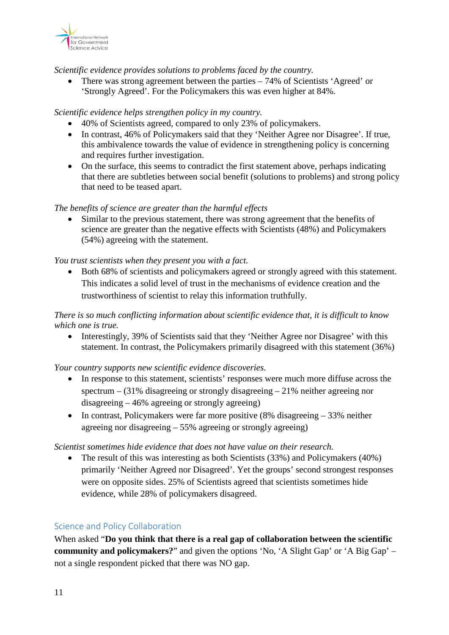

*Scientific evidence provides solutions to problems faced by the country.* 

• There was strong agreement between the parties – 74% of Scientists 'Agreed' or 'Strongly Agreed'. For the Policymakers this was even higher at 84%.

#### *Scientific evidence helps strengthen policy in my country.*

- 40% of Scientists agreed, compared to only 23% of policymakers.
- In contrast, 46% of Policymakers said that they 'Neither Agree nor Disagree'. If true, this ambivalence towards the value of evidence in strengthening policy is concerning and requires further investigation.
- On the surface, this seems to contradict the first statement above, perhaps indicating that there are subtleties between social benefit (solutions to problems) and strong policy that need to be teased apart.

#### *The benefits of science are greater than the harmful effects*

Similar to the previous statement, there was strong agreement that the benefits of science are greater than the negative effects with Scientists (48%) and Policymakers (54%) agreeing with the statement.

#### *You trust scientists when they present you with a fact.*

• Both 68% of scientists and policymakers agreed or strongly agreed with this statement. This indicates a solid level of trust in the mechanisms of evidence creation and the trustworthiness of scientist to relay this information truthfully.

## *There is so much conflicting information about scientific evidence that, it is difficult to know which one is true.*

• Interestingly, 39% of Scientists said that they 'Neither Agree nor Disagree' with this statement. In contrast, the Policymakers primarily disagreed with this statement (36%)

#### *Your country supports new scientific evidence discoveries.*

- In response to this statement, scientists' responses were much more diffuse across the spectrum  $-$  (31% disagreeing or strongly disagreeing  $-$  21% neither agreeing nor disagreeing – 46% agreeing or strongly agreeing)
- In contrast, Policymakers were far more positive (8% disagreeing 33% neither agreeing nor disagreeing – 55% agreeing or strongly agreeing)

#### *Scientist sometimes hide evidence that does not have value on their research.*

• The result of this was interesting as both Scientists (33%) and Policymakers (40%) primarily 'Neither Agreed nor Disagreed'. Yet the groups' second strongest responses were on opposite sides. 25% of Scientists agreed that scientists sometimes hide evidence, while 28% of policymakers disagreed.

#### Science and Policy Collaboration

When asked "**Do you think that there is a real gap of collaboration between the scientific community and policymakers?**" and given the options 'No, 'A Slight Gap' or 'A Big Gap' – not a single respondent picked that there was NO gap.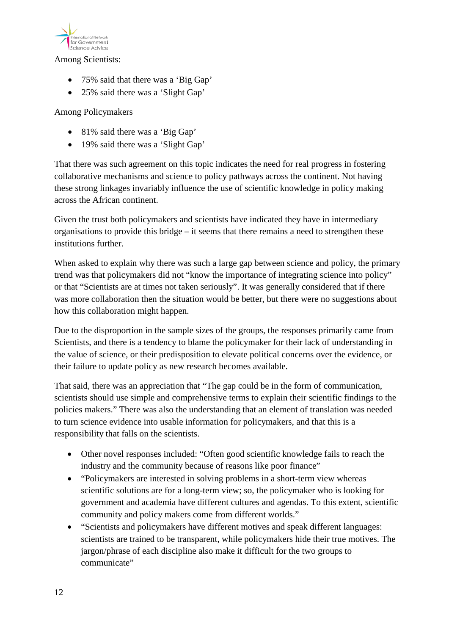

#### Among Scientists:

- 75% said that there was a 'Big Gap'
- 25% said there was a 'Slight Gap'

## Among Policymakers

- 81% said there was a 'Big Gap'
- 19% said there was a 'Slight Gap'

That there was such agreement on this topic indicates the need for real progress in fostering collaborative mechanisms and science to policy pathways across the continent. Not having these strong linkages invariably influence the use of scientific knowledge in policy making across the African continent.

Given the trust both policymakers and scientists have indicated they have in intermediary organisations to provide this bridge – it seems that there remains a need to strengthen these institutions further.

When asked to explain why there was such a large gap between science and policy, the primary trend was that policymakers did not "know the importance of integrating science into policy" or that "Scientists are at times not taken seriously". It was generally considered that if there was more collaboration then the situation would be better, but there were no suggestions about how this collaboration might happen.

Due to the disproportion in the sample sizes of the groups, the responses primarily came from Scientists, and there is a tendency to blame the policymaker for their lack of understanding in the value of science, or their predisposition to elevate political concerns over the evidence, or their failure to update policy as new research becomes available.

That said, there was an appreciation that "The gap could be in the form of communication, scientists should use simple and comprehensive terms to explain their scientific findings to the policies makers." There was also the understanding that an element of translation was needed to turn science evidence into usable information for policymakers, and that this is a responsibility that falls on the scientists.

- Other novel responses included: "Often good scientific knowledge fails to reach the industry and the community because of reasons like poor finance"
- "Policymakers are interested in solving problems in a short-term view whereas scientific solutions are for a long-term view; so, the policymaker who is looking for government and academia have different cultures and agendas. To this extent, scientific community and policy makers come from different worlds."
- "Scientists and policymakers have different motives and speak different languages: scientists are trained to be transparent, while policymakers hide their true motives. The jargon/phrase of each discipline also make it difficult for the two groups to communicate"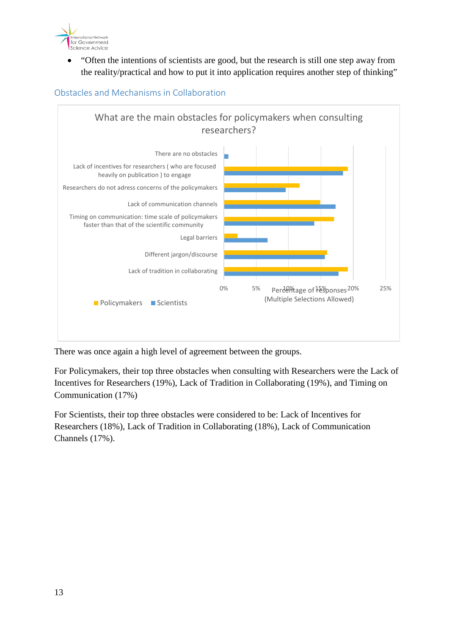

• "Often the intentions of scientists are good, but the research is still one step away from the reality/practical and how to put it into application requires another step of thinking"



Obstacles and Mechanisms in Collaboration

There was once again a high level of agreement between the groups.

For Policymakers, their top three obstacles when consulting with Researchers were the Lack of Incentives for Researchers (19%), Lack of Tradition in Collaborating (19%), and Timing on Communication (17%)

For Scientists, their top three obstacles were considered to be: Lack of Incentives for Researchers (18%), Lack of Tradition in Collaborating (18%), Lack of Communication Channels (17%).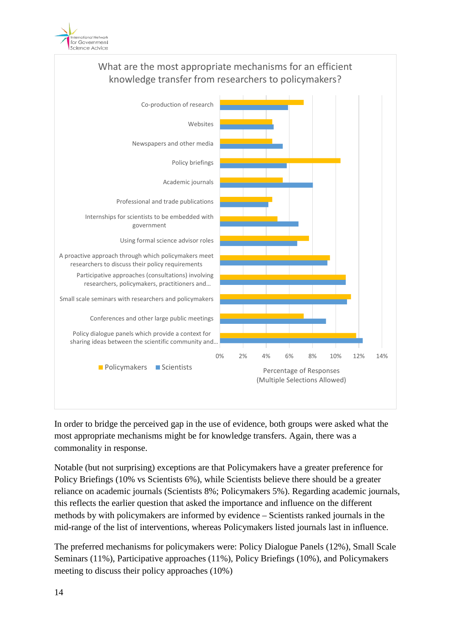



In order to bridge the perceived gap in the use of evidence, both groups were asked what the most appropriate mechanisms might be for knowledge transfers. Again, there was a commonality in response.

Notable (but not surprising) exceptions are that Policymakers have a greater preference for Policy Briefings (10% vs Scientists 6%), while Scientists believe there should be a greater reliance on academic journals (Scientists 8%; Policymakers 5%). Regarding academic journals, this reflects the earlier question that asked the importance and influence on the different methods by with policymakers are informed by evidence – Scientists ranked journals in the mid-range of the list of interventions, whereas Policymakers listed journals last in influence.

The preferred mechanisms for policymakers were: Policy Dialogue Panels (12%), Small Scale Seminars (11%), Participative approaches (11%), Policy Briefings (10%), and Policymakers meeting to discuss their policy approaches (10%)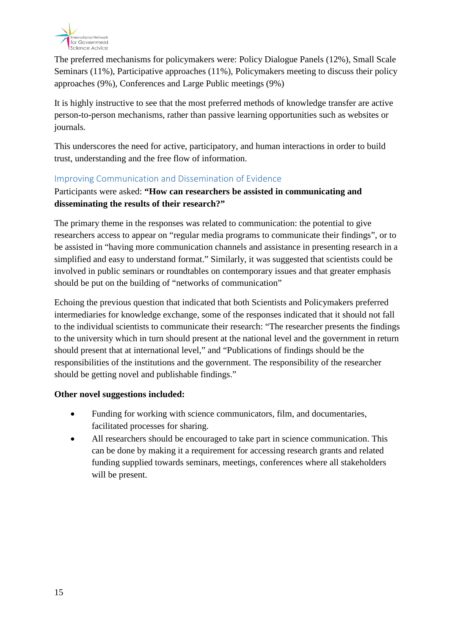

The preferred mechanisms for policymakers were: Policy Dialogue Panels (12%), Small Scale Seminars (11%), Participative approaches (11%), Policymakers meeting to discuss their policy approaches (9%), Conferences and Large Public meetings (9%)

It is highly instructive to see that the most preferred methods of knowledge transfer are active person-to-person mechanisms, rather than passive learning opportunities such as websites or journals.

This underscores the need for active, participatory, and human interactions in order to build trust, understanding and the free flow of information.

## Improving Communication and Dissemination of Evidence

Participants were asked: **"How can researchers be assisted in communicating and disseminating the results of their research?"**

The primary theme in the responses was related to communication: the potential to give researchers access to appear on "regular media programs to communicate their findings", or to be assisted in "having more communication channels and assistance in presenting research in a simplified and easy to understand format." Similarly, it was suggested that scientists could be involved in public seminars or roundtables on contemporary issues and that greater emphasis should be put on the building of "networks of communication"

Echoing the previous question that indicated that both Scientists and Policymakers preferred intermediaries for knowledge exchange, some of the responses indicated that it should not fall to the individual scientists to communicate their research: "The researcher presents the findings to the university which in turn should present at the national level and the government in return should present that at international level," and "Publications of findings should be the responsibilities of the institutions and the government. The responsibility of the researcher should be getting novel and publishable findings."

## **Other novel suggestions included:**

- Funding for working with science communicators, film, and documentaries, facilitated processes for sharing.
- All researchers should be encouraged to take part in science communication. This can be done by making it a requirement for accessing research grants and related funding supplied towards seminars, meetings, conferences where all stakeholders will be present.